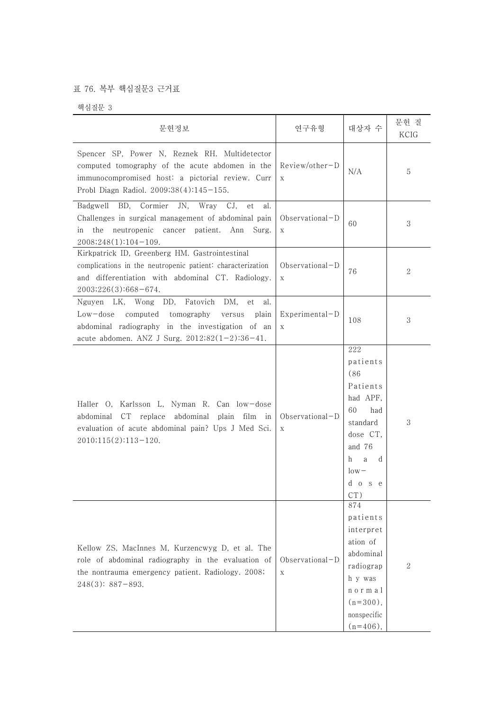## 표 76. 복부 핵심질문3 근거표

핵심질문 3

| 문헌정보                                                                                                                                                                                                                       | 연구유형                            | 대상자 수                                                                                                                                     | 문헌 질<br>KCIG |
|----------------------------------------------------------------------------------------------------------------------------------------------------------------------------------------------------------------------------|---------------------------------|-------------------------------------------------------------------------------------------------------------------------------------------|--------------|
| Spencer SP, Power N, Reznek RH. Multidetector<br>computed tomography of the acute abdomen in the<br>immunocompromised host: a pictorial review. Curr<br>Probl Diagn Radiol. 2009;38(4):145-155.                            | $Review/other-D$<br>$\mathbf X$ | N/A                                                                                                                                       | 5            |
| BD,<br>Cormier<br>JN,<br>Badgwell<br>Wray<br>CJ.<br>et<br>al.<br>Challenges in surgical management of abdominal pain<br>the neutropenic cancer patient. Ann Surg.<br>in<br>$2008;248(1):104-109.$                          | Observational-D<br>X            | 60                                                                                                                                        | 3            |
| Kirkpatrick ID, Greenberg HM. Gastrointestinal<br>complications in the neutropenic patient: characterization<br>and differentiation with abdominal CT. Radiology.<br>$2003;226(3):668-674.$                                | Observational-D<br>$\mathbf X$  | 76                                                                                                                                        | 2            |
| DD,<br>Fatovich<br>DM,<br>Nguyen LK, Wong<br>et<br>al.<br>tomography<br>$Low-dose$<br>computed<br>versus<br>plain<br>abdominal radiography in the investigation of an<br>acute abdomen. ANZ J Surg. $2012;82(1-2):36-41$ . | Experimental-D<br>$\mathbf X$   | 108                                                                                                                                       | 3            |
| Haller O, Karlsson L, Nyman R. Can low-dose<br>abdominal CT replace abdominal plain film in<br>evaluation of acute abdominal pain? Ups J Med Sci.<br>2010;115(2):113-120.                                                  | Observational-D<br>$\mathbf X$  | 222<br>patients<br>(86)<br>Patients<br>had APF,<br>60<br>had<br>standard<br>dose CT,<br>and 76<br>h<br>a<br>d<br>$low-$<br>d o s e<br>CT) | 3            |
| Kellow ZS, MacInnes M, Kurzencwyg D, et al. The<br>role of abdominal radiography in the evaluation of<br>the nontrauma emergency patient. Radiology. 2008;<br>$248(3): 887 - 893.$                                         | Observational-D<br>$\mathbf X$  | 874<br>patients<br>interpret<br>ation of<br>abdominal<br>radiograp<br>h y was<br>normal<br>$(n=300)$ ,<br>nonspecific<br>$(n=406)$ ,      | 2            |